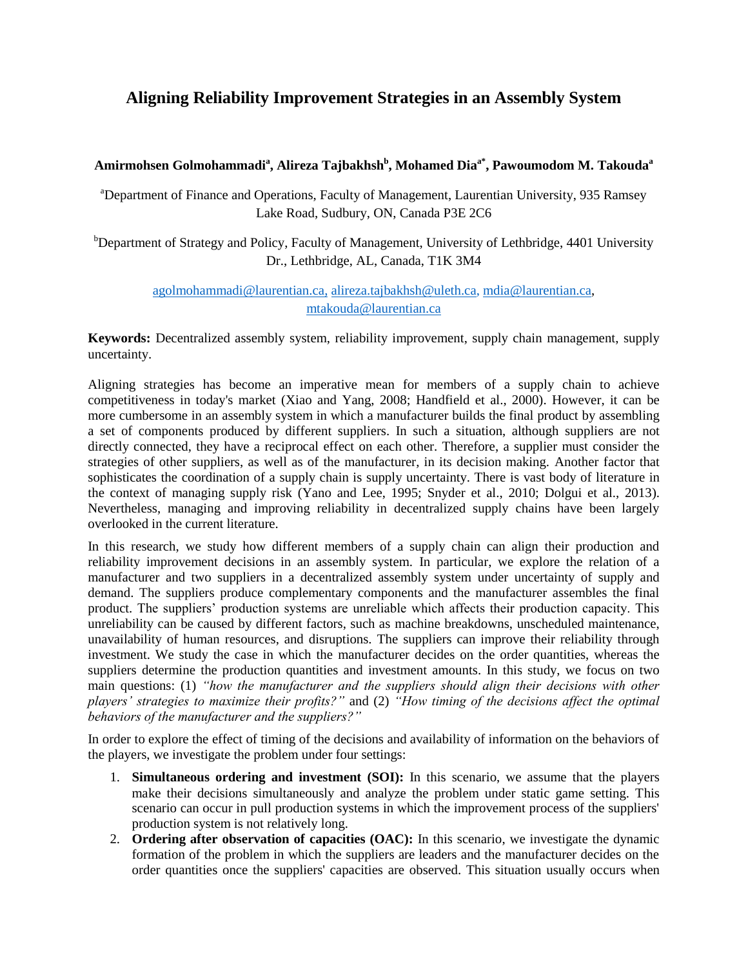## **Aligning Reliability Improvement Strategies in an Assembly System**

## **Amirmohsen Golmohammadi<sup>a</sup> , Alireza Tajbakhsh<sup>b</sup> , Mohamed Diaa\* , Pawoumodom M. Takouda<sup>a</sup>**

<sup>a</sup>Department of Finance and Operations, Faculty of Management, Laurentian University, 935 Ramsey Lake Road, Sudbury, ON, Canada P3E 2C6

<sup>b</sup>Department of Strategy and Policy, Faculty of Management, University of Lethbridge, 4401 University Dr., Lethbridge, AL, Canada, T1K 3M4

## [agolmohammadi@laurentian.ca,](mailto:agolmohammadi@laurentian.ca) [alireza.tajbakhsh@uleth.ca,](mailto:alireza.tajbakhsh@uleth.ca) [mdia@laurentian.ca,](mailto:mdia@laurentian.ca) [mtakouda@laurentian.ca](mailto:mtakouda@laurentian.ca)

**Keywords:** Decentralized assembly system, reliability improvement, supply chain management, supply uncertainty.

Aligning strategies has become an imperative mean for members of a supply chain to achieve competitiveness in today's market (Xiao and Yang, 2008; Handfield et al., 2000). However, it can be more cumbersome in an assembly system in which a manufacturer builds the final product by assembling a set of components produced by different suppliers. In such a situation, although suppliers are not directly connected, they have a reciprocal effect on each other. Therefore, a supplier must consider the strategies of other suppliers, as well as of the manufacturer, in its decision making. Another factor that sophisticates the coordination of a supply chain is supply uncertainty. There is vast body of literature in the context of managing supply risk (Yano and Lee, 1995; Snyder et al., 2010; Dolgui et al., 2013). Nevertheless, managing and improving reliability in decentralized supply chains have been largely overlooked in the current literature.

In this research, we study how different members of a supply chain can align their production and reliability improvement decisions in an assembly system. In particular, we explore the relation of a manufacturer and two suppliers in a decentralized assembly system under uncertainty of supply and demand. The suppliers produce complementary components and the manufacturer assembles the final product. The suppliers' production systems are unreliable which affects their production capacity. This unreliability can be caused by different factors, such as machine breakdowns, unscheduled maintenance, unavailability of human resources, and disruptions. The suppliers can improve their reliability through investment. We study the case in which the manufacturer decides on the order quantities, whereas the suppliers determine the production quantities and investment amounts. In this study, we focus on two main questions: (1) *"how the manufacturer and the suppliers should align their decisions with other players' strategies to maximize their profits?"* and (2) *"How timing of the decisions affect the optimal behaviors of the manufacturer and the suppliers?"*

In order to explore the effect of timing of the decisions and availability of information on the behaviors of the players, we investigate the problem under four settings:

- 1. **Simultaneous ordering and investment (SOI):** In this scenario, we assume that the players make their decisions simultaneously and analyze the problem under static game setting. This scenario can occur in pull production systems in which the improvement process of the suppliers' production system is not relatively long.
- 2. **Ordering after observation of capacities (OAC):** In this scenario, we investigate the dynamic formation of the problem in which the suppliers are leaders and the manufacturer decides on the order quantities once the suppliers' capacities are observed. This situation usually occurs when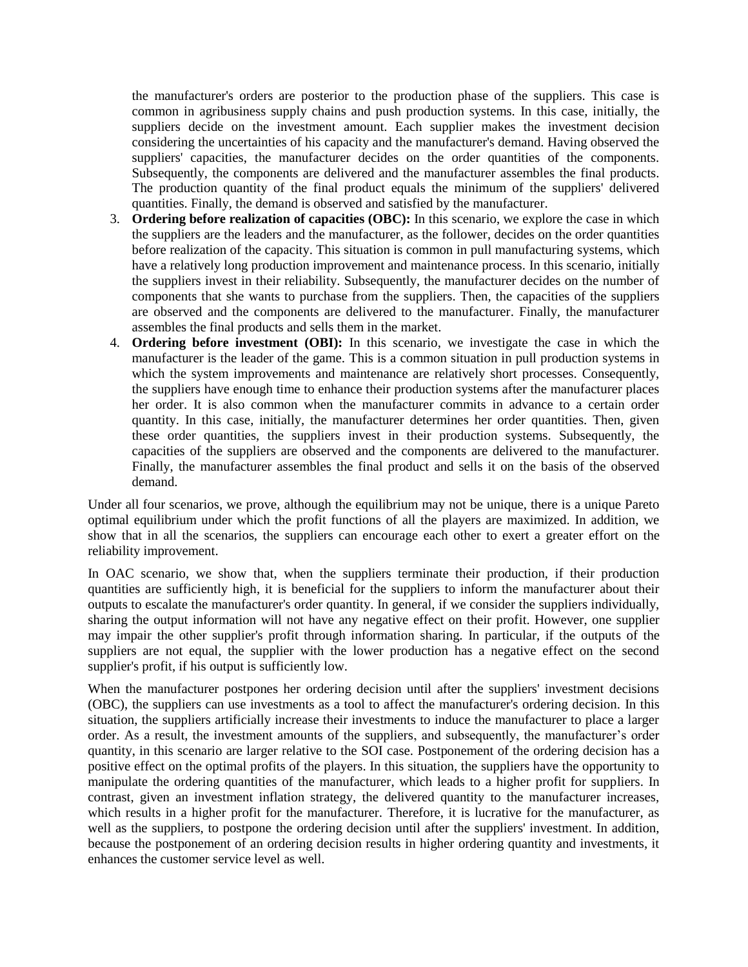the manufacturer's orders are posterior to the production phase of the suppliers. This case is common in agribusiness supply chains and push production systems. In this case, initially, the suppliers decide on the investment amount. Each supplier makes the investment decision considering the uncertainties of his capacity and the manufacturer's demand. Having observed the suppliers' capacities, the manufacturer decides on the order quantities of the components. Subsequently, the components are delivered and the manufacturer assembles the final products. The production quantity of the final product equals the minimum of the suppliers' delivered quantities. Finally, the demand is observed and satisfied by the manufacturer.

- 3. **Ordering before realization of capacities (OBC):** In this scenario, we explore the case in which the suppliers are the leaders and the manufacturer, as the follower, decides on the order quantities before realization of the capacity. This situation is common in pull manufacturing systems, which have a relatively long production improvement and maintenance process. In this scenario, initially the suppliers invest in their reliability. Subsequently, the manufacturer decides on the number of components that she wants to purchase from the suppliers. Then, the capacities of the suppliers are observed and the components are delivered to the manufacturer. Finally, the manufacturer assembles the final products and sells them in the market.
- 4. **Ordering before investment (OBI):** In this scenario, we investigate the case in which the manufacturer is the leader of the game. This is a common situation in pull production systems in which the system improvements and maintenance are relatively short processes. Consequently, the suppliers have enough time to enhance their production systems after the manufacturer places her order. It is also common when the manufacturer commits in advance to a certain order quantity. In this case, initially, the manufacturer determines her order quantities. Then, given these order quantities, the suppliers invest in their production systems. Subsequently, the capacities of the suppliers are observed and the components are delivered to the manufacturer. Finally, the manufacturer assembles the final product and sells it on the basis of the observed demand.

Under all four scenarios, we prove, although the equilibrium may not be unique, there is a unique Pareto optimal equilibrium under which the profit functions of all the players are maximized. In addition, we show that in all the scenarios, the suppliers can encourage each other to exert a greater effort on the reliability improvement.

In OAC scenario, we show that, when the suppliers terminate their production, if their production quantities are sufficiently high, it is beneficial for the suppliers to inform the manufacturer about their outputs to escalate the manufacturer's order quantity. In general, if we consider the suppliers individually, sharing the output information will not have any negative effect on their profit. However, one supplier may impair the other supplier's profit through information sharing. In particular, if the outputs of the suppliers are not equal, the supplier with the lower production has a negative effect on the second supplier's profit, if his output is sufficiently low.

When the manufacturer postpones her ordering decision until after the suppliers' investment decisions (OBC), the suppliers can use investments as a tool to affect the manufacturer's ordering decision. In this situation, the suppliers artificially increase their investments to induce the manufacturer to place a larger order. As a result, the investment amounts of the suppliers, and subsequently, the manufacturer's order quantity, in this scenario are larger relative to the SOI case. Postponement of the ordering decision has a positive effect on the optimal profits of the players. In this situation, the suppliers have the opportunity to manipulate the ordering quantities of the manufacturer, which leads to a higher profit for suppliers. In contrast, given an investment inflation strategy, the delivered quantity to the manufacturer increases, which results in a higher profit for the manufacturer. Therefore, it is lucrative for the manufacturer, as well as the suppliers, to postpone the ordering decision until after the suppliers' investment. In addition, because the postponement of an ordering decision results in higher ordering quantity and investments, it enhances the customer service level as well.